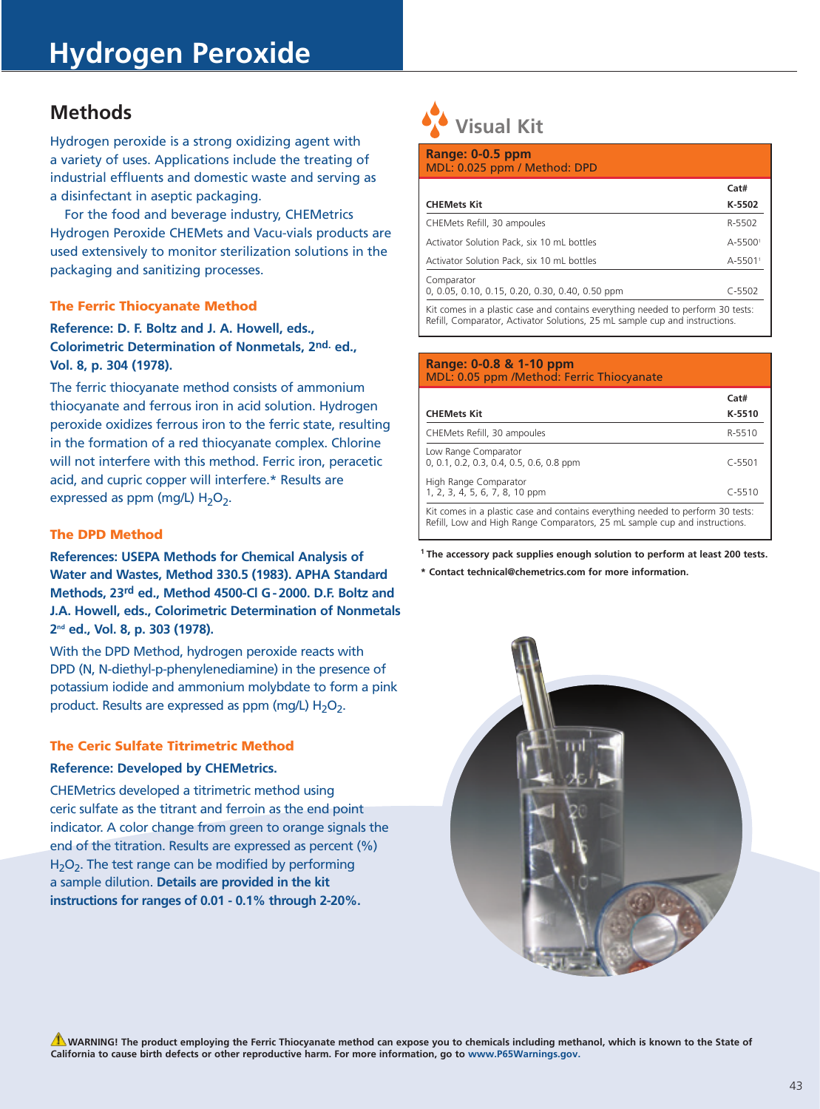# **Methods**

Hydrogen peroxide is a strong oxidizing agent with a variety of uses. Applications include the treating of industrial effluents and domestic waste and serving as a disinfectant in aseptic packaging.

For the food and beverage industry, CHEMetrics Hydrogen Peroxide CHEMets and Vacu-vials products are used extensively to monitor sterilization solutions in the packaging and sanitizing processes.

## The Ferric Thiocyanate Method

**Reference: D. F. Boltz and J. A. Howell, eds., Colorimetric Determination of Nonmetals, 2nd. ed., Vol. 8, p. 304 (1978).**

The ferric thiocyanate method consists of ammonium thiocyanate and ferrous iron in acid solution. Hydrogen peroxide oxidizes ferrous iron to the ferric state, resulting in the formation of a red thiocyanate complex. Chlorine will not interfere with this method. Ferric iron, peracetic acid, and cupric copper will interfere.\* Results are expressed as ppm (mg/L)  $H_2O_2$ .

# The DPD Method

**References: USEPA Methods for Chemical Analysis of Water and Wastes, Method 330.5 (1983). APHA Standard Methods, 23rd ed., Method 4500-Cl G-2000. D.F. Boltz and J.A. Howell, eds., Colorimetric Determination of Nonmetals 2nd ed., Vol. 8, p. 303 (1978).**

With the DPD Method, hydrogen peroxide reacts with DPD (N, N-diethyl-p-phenylenediamine) in the presence of potassium iodide and ammonium molybdate to form a pink product. Results are expressed as ppm (mg/L)  $H_2O_2$ .

# The Ceric Sulfate Titrimetric Method

## **Reference: Developed by CHEMetrics.**

CHEMetrics developed a titrimetric method using ceric sulfate as the titrant and ferroin as the end point indicator. A color change from green to orange signals the end of the titration. Results are expressed as percent (%)  $H_2O_2$ . The test range can be modified by performing a sample dilution. **Details are provided in the kit instructions for ranges of 0.01 - 0.1% through 2-20%.**

# **Visual Kit**

í

| Range: 0-0.5 ppm<br>MDL: 0.025 ppm / Method: DPD              |                     |
|---------------------------------------------------------------|---------------------|
| <b>CHEMets Kit</b>                                            | Cat#<br>K-5502      |
| CHEMets Refill, 30 ampoules                                   | R-5502              |
| Activator Solution Pack, six 10 mL bottles                    | A-55001             |
| Activator Solution Pack, six 10 mL bottles                    | A-5501 <sup>1</sup> |
| Comparator<br>0, 0.05, 0.10, 0.15, 0.20, 0.30, 0.40, 0.50 ppm | $C - 5502$          |
|                                                               |                     |

Kit comes in a plastic case and contains everything needed to perform 30 tests: Refill, Comparator, Activator Solutions, 25 mL sample cup and instructions.

#### **Range: 0-0.8 & 1-10 ppm** MDL: 0.05 ppm /Method: Ferric Thiocyanate

|                                                                                                                                                               | Cat#       |
|---------------------------------------------------------------------------------------------------------------------------------------------------------------|------------|
| <b>CHEMets Kit</b>                                                                                                                                            | K-5510     |
| CHEMets Refill, 30 ampoules                                                                                                                                   | R-5510     |
| Low Range Comparator<br>0, 0.1, 0.2, 0.3, 0.4, 0.5, 0.6, 0.8 ppm                                                                                              | $C - 5501$ |
| High Range Comparator<br>1, 2, 3, 4, 5, 6, 7, 8, 10 ppm                                                                                                       | $C - 5510$ |
| Kit comes in a plastic case and contains everything needed to perform 30 tests:<br>Refill, Low and High Range Comparators, 25 mL sample cup and instructions. |            |

**1 The accessory pack supplies enough solution to perform at least 200 tests.**

**\* Contact technical@chemetrics.com for more information.**



**WARNING! The product employing the Ferric Thiocyanate method can expose you to chemicals including methanol, which is known to the State of California to cause birth defects or other reproductive harm. For more information, go to www.P65Warnings.gov.**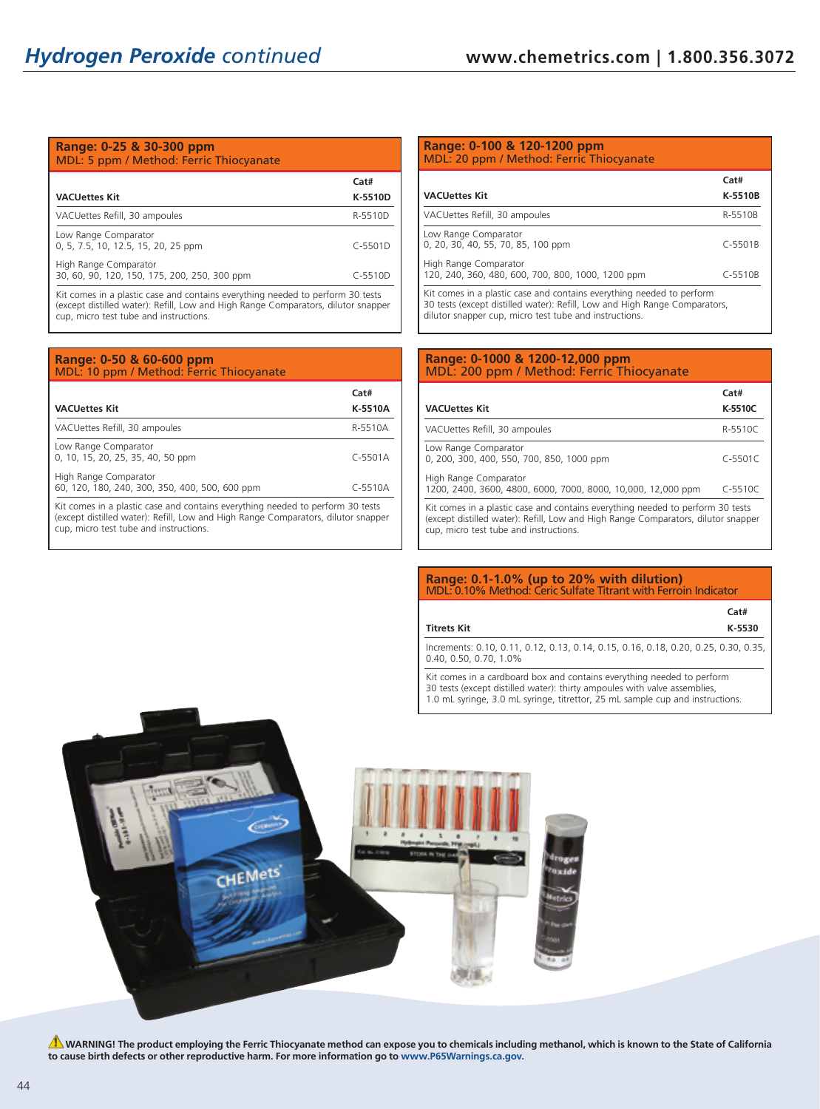#### **Range: 0-25 & 30-300 ppm** MDL: 5 ppm / Method: Ferric Thiocyanate

|                                                                                                                                  |          | Cat#      |
|----------------------------------------------------------------------------------------------------------------------------------|----------|-----------|
| <b>VACUettes Kit</b>                                                                                                             |          | K-5510D   |
| VACUettes Refill, 30 ampoules                                                                                                    |          | R-5510D   |
| Low Range Comparator<br>0, 5, 7.5, 10, 12.5, 15, 20, 25 ppm                                                                      |          | $C-5501D$ |
| High Range Comparator<br>30, 60, 90, 120, 150, 175, 200, 250, 300 ppm                                                            |          | $C-5510D$ |
| the contract of the contract of the contract of the contract of the contract of the contract of the contract of<br>.<br>$\cdots$ | $\cdots$ | .         |

Kit comes in a plastic case and contains everything needed to perform 30 tests (except distilled water): Refill, Low and High Range Comparators, dilutor snapper cup, micro test tube and instructions.

| Range: 0-50 & 60-600 ppm<br>MDL: 10 ppm / Method: Ferric Thiocyanate           |                 |
|--------------------------------------------------------------------------------|-----------------|
| <b>VACUettes Kit</b>                                                           | Cat#<br>K-5510A |
| VACUettes Refill, 30 ampoules                                                  | R-5510A         |
| Low Range Comparator<br>0, 10, 15, 20, 25, 35, 40, 50 ppm                      | $C-5501A$       |
| High Range Comparator<br>60, 120, 180, 240, 300, 350, 400, 500, 600 ppm        | $C-5510A$       |
| Kit comes in a plastic case and contains everything needed to perform 30 tests |                 |

(except distilled water): Refill, Low and High Range Comparators, dilutor snapper cup, micro test tube and instructions.

## **Range: 0-100 & 120-1200 ppm** MDL: 20 ppm / Method: Ferric Thiocyanate

| <b>VACUettes Kit</b>                                                                                                                                | Cat#<br>K-5510B |
|-----------------------------------------------------------------------------------------------------------------------------------------------------|-----------------|
| VACUettes Refill, 30 ampoules                                                                                                                       | R-5510B         |
| Low Range Comparator<br>0, 20, 30, 40, 55, 70, 85, 100 ppm                                                                                          | $C-5501B$       |
| High Range Comparator<br>120, 240, 360, 480, 600, 700, 800, 1000, 1200 ppm                                                                          | $C-5510B$       |
| Kit comes in a plastic case and contains everything needed to perform<br>30 tests (except distilled water): Refill, Low and High Range Comparators, |                 |

#### **Range: 0-1000 & 1200-12,000 ppm** MDL: 200 ppm / Method: Ferric Thiocyanate

dilutor snapper cup, micro test tube and instructions.

|                                                                                                                                                                                                               | Cat#        |
|---------------------------------------------------------------------------------------------------------------------------------------------------------------------------------------------------------------|-------------|
| <b>VACUettes Kit</b>                                                                                                                                                                                          | K-5510C     |
| VACUettes Refill, 30 ampoules                                                                                                                                                                                 | R-5510C     |
| Low Range Comparator<br>0, 200, 300, 400, 550, 700, 850, 1000 ppm                                                                                                                                             | $C - 5501C$ |
| High Range Comparator<br>1200, 2400, 3600, 4800, 6000, 7000, 8000, 10,000, 12,000 ppm                                                                                                                         | $C - 5510C$ |
| Kit comes in a plastic case and contains everything needed to perform 30 tests<br>(except distilled water): Refill, Low and High Range Comparators, dilutor snapper<br>cup, micro test tube and instructions. |             |

#### **Range: 0.1-1.0% (up to 20% with dilution)** MDL: 0.10% Method: Ceric Sulfate Titrant with Ferroin Indicator

|                    | Cat#   |
|--------------------|--------|
| <b>Titrets Kit</b> | K-5530 |

Increments: 0.10, 0.11, 0.12, 0.13, 0.14, 0.15, 0.16, 0.18, 0.20, 0.25, 0.30, 0.35, 0.40, 0.50, 0.70, 1.0%

Kit comes in a cardboard box and contains everything needed to perform 30 tests (except distilled water): thirty ampoules with valve assemblies, 1.0 mL syringe, 3.0 mL syringe, titrettor, 25 mL sample cup and instructions.



**A** WARNING! The product employing the Ferric Thiocyanate method can expose you to chemicals including methanol, which is known to the State of California **to cause birth defects or other reproductive harm. For more information go to www.P65Warnings.ca.gov.**